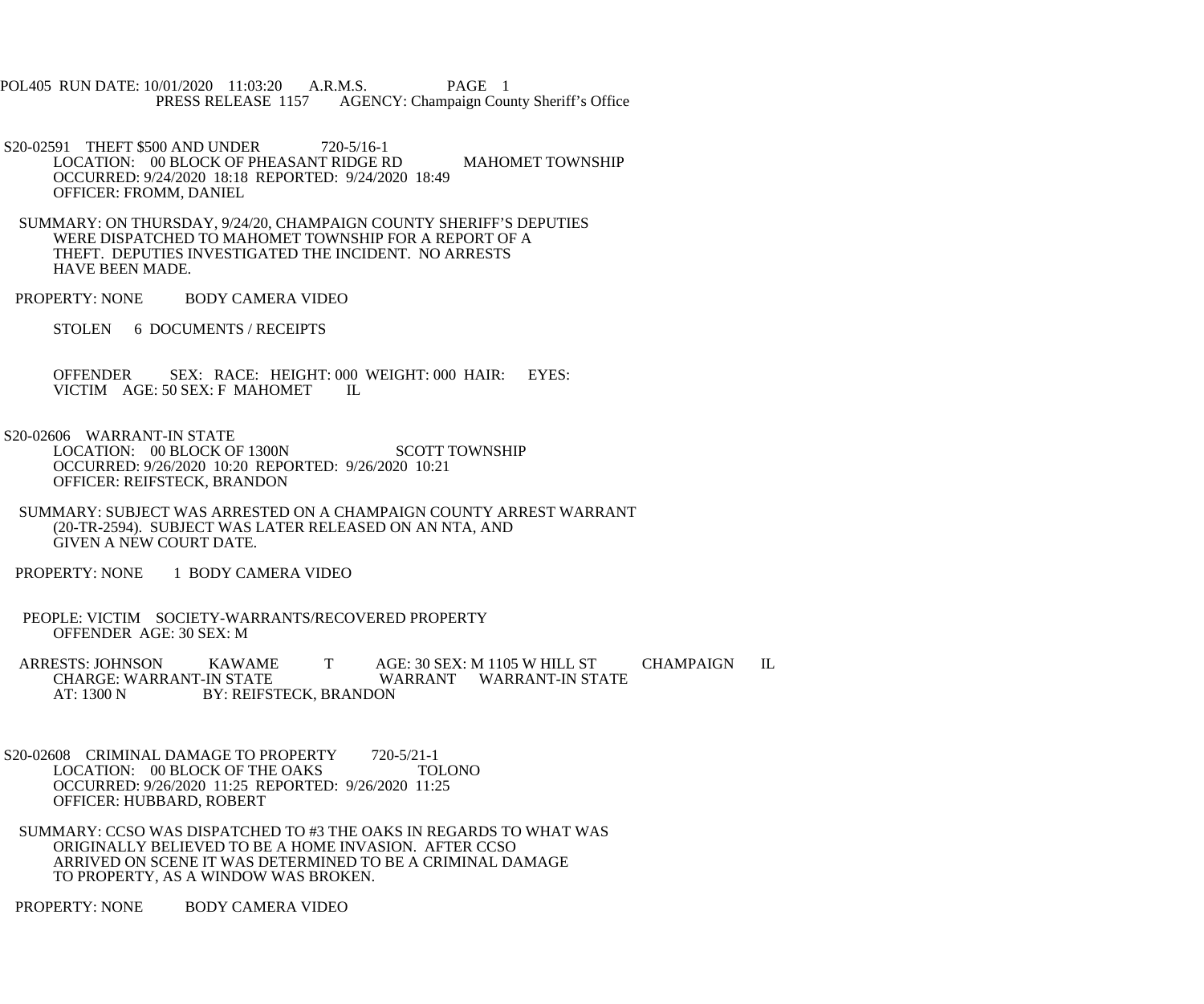POL405 RUN DATE: 10/01/2020 11:03:20 A.R.M.S. PAGE 1<br>PRESS RELEASE 1157 AGENCY: Champaign Cou AGENCY: Champaign County Sheriff's Office

 S20-02591 THEFT \$500 AND UNDER 720-5/16-1 LOCATION: 00 BLOCK OF PHEASANT RIDGE RD MAHOMET TOWNSHIP OCCURRED: 9/24/2020 18:18 REPORTED: 9/24/2020 18:49 OFFICER: FROMM, DANIEL

 SUMMARY: ON THURSDAY, 9/24/20, CHAMPAIGN COUNTY SHERIFF'S DEPUTIES WERE DISPATCHED TO MAHOMET TOWNSHIP FOR A REPORT OF A THEFT. DEPUTIES INVESTIGATED THE INCIDENT. NO ARRESTS HAVE BEEN MADE.

PROPERTY: NONE BODY CAMERA VIDEO

STOLEN 6 DOCUMENTS / RECEIPTS

OFFENDER SEX: RACE: HEIGHT: 000 WEIGHT: 000 HAIR: EYES: VICTIM AGE: 50 SEX: F MAHOMET IL VICTIM AGE: 50 SEX: F MAHOMET

S20-02606 WARRANT-IN STATE

LOCATION: 00 BLOCK OF 1300N SCOTT TOWNSHIP OCCURRED: 9/26/2020 10:20 REPORTED: 9/26/2020 10:21 OFFICER: REIFSTECK, BRANDON

- SUMMARY: SUBJECT WAS ARRESTED ON A CHAMPAIGN COUNTY ARREST WARRANT (20-TR-2594). SUBJECT WAS LATER RELEASED ON AN NTA, AND GIVEN A NEW COURT DATE.
- PROPERTY: NONE 1 BODY CAMERA VIDEO
- PEOPLE: VICTIM SOCIETY-WARRANTS/RECOVERED PROPERTY OFFENDER AGE: 30 SEX: M

ARRESTS: JOHNSON KAWAME T AGE: 30 SEX: M 1105 W HILL ST CHAMPAIGN IL<br>CHARGE: WARRANT-IN STATE WARRANT WARRANT-IN STATE CHARGE: WARRANT-IN STATE WARRANT WARRANT-IN STATE<br>AT: 1300 N BY: REIFSTECK. BRANDON BY: REIFSTECK, BRANDON

S20-02608 CRIMINAL DAMAGE TO PROPERTY 720-5/21-1 LOCATION: 00 BLOCK OF THE OAKS TOLONO OCCURRED: 9/26/2020 11:25 REPORTED: 9/26/2020 11:25 OFFICER: HUBBARD, ROBERT

 SUMMARY: CCSO WAS DISPATCHED TO #3 THE OAKS IN REGARDS TO WHAT WAS ORIGINALLY BELIEVED TO BE A HOME INVASION. AFTER CCSO ARRIVED ON SCENE IT WAS DETERMINED TO BE A CRIMINAL DAMAGE TO PROPERTY, AS A WINDOW WAS BROKEN.

PROPERTY: NONE BODY CAMERA VIDEO